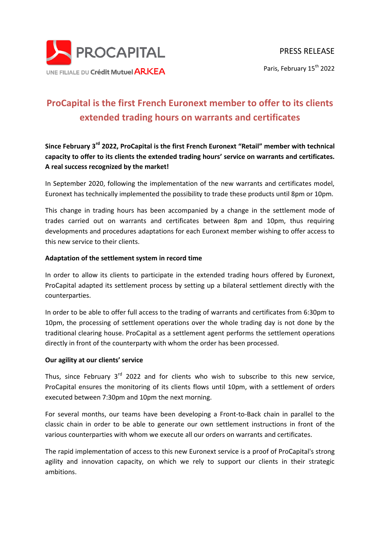

## **ProCapital is the first French Euronext member to offer to its clients extended trading hours on warrants and certificates**

**Since February 3rd 2022, ProCapital is the first French Euronext "Retail" member with technical capacity to offer to its clients the extended trading hours' service on warrants and certificates. A real success recognized by the market!**

In September 2020, following the implementation of the new warrants and certificates model, Euronext has technically implemented the possibility to trade these products until 8pm or 10pm.

This change in trading hours has been accompanied by a change in the settlement mode of trades carried out on warrants and certificates between 8pm and 10pm, thus requiring developments and procedures adaptations for each Euronext member wishing to offer access to this new service to their clients.

## **Adaptation of the settlement system in record time**

In order to allow its clients to participate in the extended trading hours offered by Euronext, ProCapital adapted its settlement process by setting up a bilateral settlement directly with the counterparties.

In order to be able to offer full access to the trading of warrants and certificates from 6:30pm to 10pm, the processing of settlement operations over the whole trading day is not done by the traditional clearing house. ProCapital as a settlement agent performs the settlement operations directly in front of the counterparty with whom the order has been processed.

## **Our agility at our clients' service**

Thus, since February  $3<sup>rd</sup>$  2022 and for clients who wish to subscribe to this new service. ProCapital ensures the monitoring of its clients flows until 10pm, with a settlement of orders executed between 7:30pm and 10pm the next morning.

For several months, our teams have been developing a Front-to-Back chain in parallel to the classic chain in order to be able to generate our own settlement instructions in front of the various counterparties with whom we execute all our orders on warrants and certificates.

The rapid implementation of access to this new Euronext service is a proof of ProCapital's strong agility and innovation capacity, on which we rely to support our clients in their strategic ambitions.